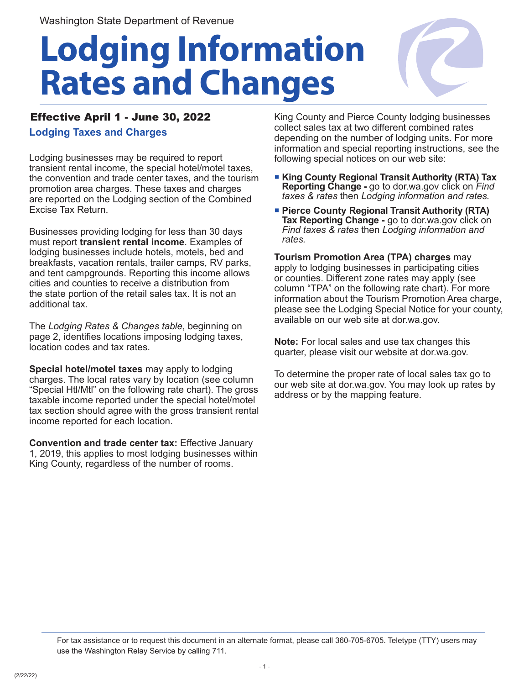# **Lodging Information Rates and Changes**



### Effective April 1 - June 30, 2022

**Lodging Taxes and Charges**

Lodging businesses may be required to report transient rental income, the special hotel/motel taxes, the convention and trade center taxes, and the tourism promotion area charges. These taxes and charges are reported on the Lodging section of the Combined Excise Tax Return.

Businesses providing lodging for less than 30 days must report **transient rental income**. Examples of lodging businesses include hotels, motels, bed and breakfasts, vacation rentals, trailer camps, RV parks, and tent campgrounds. Reporting this income allows cities and counties to receive a distribution from the state portion of the retail sales tax. It is not an additional tax.

The *Lodging Rates & Changes table*, beginning on page 2, identifies locations imposing lodging taxes, location codes and tax rates.

**Special hotel/motel taxes** may apply to lodging charges. The local rates vary by location (see column "Special Htl/Mtl" on the following rate chart). The gross taxable income reported under the special hotel/motel tax section should agree with the gross transient rental income reported for each location.

**Convention and trade center tax:** Effective January 1, 2019, this applies to most lodging businesses within King County, regardless of the number of rooms.

King County and Pierce County lodging businesses collect sales tax at two different combined rates depending on the number of lodging units. For more information and special reporting instructions, see the following special notices on our web site:

- **King County Regional Transit Authority (RTA) Tax Reporting Change -** go to dor.wa.gov click on *Find taxes & rates* then *Lodging information and rates.*
- **Pierce County Regional Transit Authority (RTA) Tax Reporting Change -** go to dor.wa.gov click on *Find taxes & rates* then *Lodging information and rates.*

**Tourism Promotion Area (TPA) charges** may apply to lodging businesses in participating cities or counties. Different zone rates may apply (see column "TPA" on the following rate chart). For more information about the Tourism Promotion Area charge, please see the Lodging Special Notice for your county, available on our web site at dor.wa.gov.

**Note:** For local sales and use tax changes this quarter, please visit our website at dor.wa.gov.

To determine the proper rate of local sales tax go to our web site at dor.wa.gov. You may look up rates by address or by the mapping feature.

For tax assistance or to request this document in an alternate format, please call 360-705-6705. Teletype (TTY) users may use the Washington Relay Service by calling 711.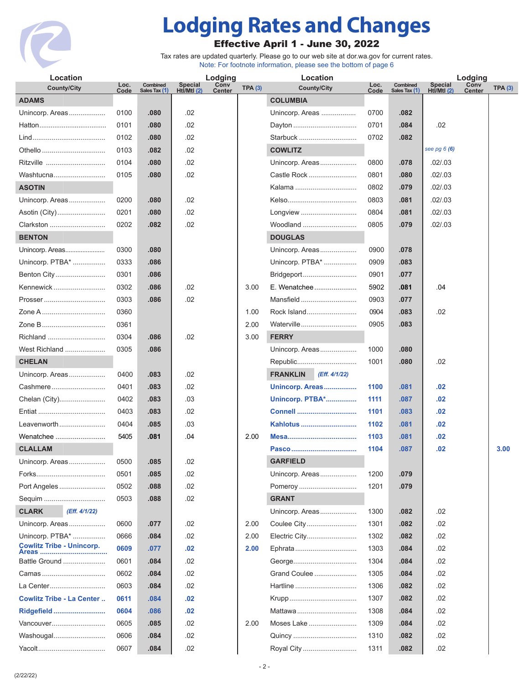

# **Lodging Rates and Changes**

## Effective April 1 - June 30, 2022

Tax rates are updated quarterly. Please go to our web site at dor.wa.gov for current rates. Note: For footnote information, please see the bottom of page 6

| Location                                  |              |                           |                              | Lodging        |                | Location                         |              |                           | Lodging                       |                       |                |
|-------------------------------------------|--------------|---------------------------|------------------------------|----------------|----------------|----------------------------------|--------------|---------------------------|-------------------------------|-----------------------|----------------|
| <b>County/City</b>                        | Loc.<br>Code | Combined<br>Sales Tax (1) | <b>Special</b><br>HtI/MtI(2) | Conv<br>Center | <b>TPA (3)</b> | <b>County/City</b>               | Loc.<br>Code | Combined<br>Sales Tax (1) | <b>Special</b><br>Htl/Mtl (2) | Conv<br><b>Center</b> | <b>TPA (3)</b> |
| <b>ADAMS</b>                              |              |                           |                              |                |                | <b>COLUMBIA</b>                  |              |                           |                               |                       |                |
| Unincorp. Areas                           | 0100         | .080                      | .02                          |                |                | Unincorp. Areas                  | 0700         | .082                      |                               |                       |                |
|                                           | 0101         | .080                      | .02                          |                |                | Dayton                           | 0701         | .084                      | .02                           |                       |                |
|                                           | 0102         | .080                      | .02                          |                |                | Starbuck                         | 0702         | .082                      |                               |                       |                |
| Othello                                   | 0103         | .082                      | .02                          |                |                | <b>COWLITZ</b>                   |              |                           | see pg $6(6)$                 |                       |                |
| Ritzville                                 | 0104         | .080                      | .02                          |                |                | Unincorp. Areas                  | 0800         | .078                      | .02 / .03                     |                       |                |
| Washtucna                                 | 0105         | .080                      | .02                          |                |                | Castle Rock                      | 0801         | .080                      | .02 / .03                     |                       |                |
| <b>ASOTIN</b>                             |              |                           |                              |                |                | Kalama                           | 0802         | .079                      | .02 / .03                     |                       |                |
| Unincorp. Areas                           | 0200         | .080                      | .02                          |                |                |                                  | 0803         | .081                      | .02 / .03                     |                       |                |
| Asotin (City)                             | 0201         | .080                      | .02                          |                |                | Longview                         | 0804         | .081                      | .02 / .03                     |                       |                |
| Clarkston                                 | 0202         | .082                      | .02                          |                |                | Woodland                         | 0805         | .079                      | .02 / .03                     |                       |                |
| <b>BENTON</b>                             |              |                           |                              |                |                | <b>DOUGLAS</b>                   |              |                           |                               |                       |                |
| Unincorp. Areas                           | 0300         | .080                      |                              |                |                | Unincorp. Areas                  | 0900         | .078                      |                               |                       |                |
| Unincorp. PTBA*                           | 0333         | .086                      |                              |                |                | Unincorp. PTBA*                  | 0909         | .083                      |                               |                       |                |
| Benton City                               | 0301         | .086                      |                              |                |                | Bridgeport                       | 0901         | .077                      |                               |                       |                |
| Kennewick                                 | 0302         | .086                      | .02                          |                | 3.00           | E. Wenatchee                     | 5902         | .081                      | .04                           |                       |                |
| Prosser                                   | 0303         | .086                      | .02                          |                |                | Mansfield                        | 0903         | .077                      |                               |                       |                |
| Zone A                                    | 0360         |                           |                              |                | 1.00           | Rock Island                      | 0904         | .083                      | .02                           |                       |                |
| Zone B                                    | 0361         |                           |                              |                | 2.00           | Waterville                       | 0905         | .083                      |                               |                       |                |
| Richland                                  | 0304         | .086                      | .02                          |                | 3.00           | <b>FERRY</b>                     |              |                           |                               |                       |                |
| West Richland                             | 0305         | .086                      |                              |                |                | Unincorp. Areas                  | 1000         | .080                      |                               |                       |                |
| <b>CHELAN</b>                             |              |                           |                              |                |                | Republic                         | 1001         | .080                      | .02                           |                       |                |
| Unincorp. Areas                           | 0400         | .083                      | .02                          |                |                | <b>FRANKLIN</b><br>(Eff. 4/1/22) |              |                           |                               |                       |                |
| Cashmere                                  | 0401         | .083                      | .02                          |                |                | Unincorp. Areas                  | 1100         | .081                      | .02                           |                       |                |
| Chelan (City)                             | 0402         | .083                      | .03                          |                |                | <b>Unincorp. PTBA*</b>           | 1111         | .087                      | .02                           |                       |                |
|                                           | 0403         | .083                      | .02                          |                |                | Connell                          | 1101         | .083                      | .02                           |                       |                |
| Leavenworth                               | 0404         | .085                      | .03                          |                |                | Kahlotus                         | 1102         | .081                      | .02                           |                       |                |
| Wenatchee                                 | 5405         | .081                      | .04                          |                | 2.00           |                                  | 1103         | .081                      | .02                           |                       |                |
| <b>CLALLAM</b>                            |              |                           |                              |                |                |                                  | 1104         | .087                      | .02                           |                       | 3.00           |
| Unincorp. Areas                           | 0500         | .085                      | .02                          |                |                | <b>GARFIELD</b>                  |              |                           |                               |                       |                |
|                                           | 0501         | .085                      | .02                          |                |                | Unincorp. Areas                  | 1200         | .079                      |                               |                       |                |
| Port Angeles                              | 0502         | .088                      | .02                          |                |                | Pomeroy                          | 1201         | .079                      |                               |                       |                |
| Sequim                                    | 0503         | .088                      | .02                          |                |                | <b>GRANT</b>                     |              |                           |                               |                       |                |
| <b>CLARK</b><br>(Eff. 4/1/22)             |              |                           |                              |                |                | Unincorp. Areas                  | 1300         | .082                      | .02                           |                       |                |
| Unincorp. Areas                           | 0600         | .077                      | .02                          |                | 2.00           | Coulee City                      | 1301         | .082                      | .02                           |                       |                |
| Unincorp. PTBA*                           | 0666         | .084                      | .02                          |                | 2.00           | Electric City                    | 1302         | .082                      | .02                           |                       |                |
| <b>Cowlitz Tribe - Unincorp.</b><br>Areas | 0609         | .077                      | .02                          |                | 2.00           | Ephrata                          | 1303         | .084                      | .02                           |                       |                |
| Battle Ground                             | 0601         | .084                      | .02                          |                |                |                                  | 1304         | .084                      | .02                           |                       |                |
| Camas                                     | 0602         | .084                      | .02                          |                |                | Grand Coulee                     | 1305         | .084                      | .02                           |                       |                |
| La Center                                 | 0603         | .084                      | .02                          |                |                | Hartline                         | 1306         | .082                      | .02                           |                       |                |
| <b>Cowlitz Tribe - La Center</b>          | 0611         | .084                      | .02                          |                |                |                                  | 1307         | .082                      | .02                           |                       |                |
| Ridgefield                                | 0604         | .086                      | .02                          |                |                | Mattawa                          | 1308         | .084                      | .02                           |                       |                |
| Vancouver                                 | 0605         | .085                      | .02                          |                | 2.00           | Moses Lake                       | 1309         | .084                      | .02                           |                       |                |
| Washougal                                 | 0606         | .084                      | .02                          |                |                | Quincy                           | 1310         | .082                      | .02                           |                       |                |
| Yacolt                                    | 0607         | .084                      | .02                          |                |                | Royal City                       | 1311         | .082                      | .02                           |                       |                |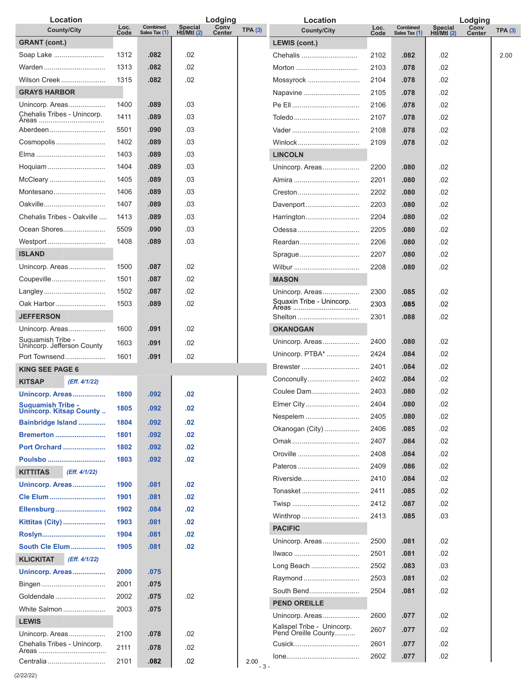| Location                                        |              |                           |                        | Lodging               |               | Location                                          |              |                           |                        | Lodging               |                |
|-------------------------------------------------|--------------|---------------------------|------------------------|-----------------------|---------------|---------------------------------------------------|--------------|---------------------------|------------------------|-----------------------|----------------|
| <b>County/City</b>                              | Loc.<br>Code | Combined<br>Sales Tax (1) | Special<br>Htİ/Mtl (2) | Conv<br><b>Center</b> | TPA(3)        | <b>County/City</b>                                | Loc.<br>Code | Combined<br>Sales Tax (1) | Special<br>Htl/Mtl (2) | Conv<br><b>Center</b> | <b>TPA (3)</b> |
| <b>GRANT</b> (cont.)                            |              |                           |                        |                       |               | <b>LEWIS (cont.)</b>                              |              |                           |                        |                       |                |
| Soap Lake                                       | 1312         | .082                      | .02                    |                       |               | Chehalis                                          | 2102         | .082                      | .02                    |                       | 2.00           |
| Warden                                          | 1313         | .082                      | .02                    |                       |               | Morton                                            | 2103         | .078                      | .02                    |                       |                |
| Wilson Creek                                    | 1315         | .082                      | .02                    |                       |               | Mossyrock                                         | 2104         | .078                      | .02                    |                       |                |
| <b>GRAYS HARBOR</b>                             |              |                           |                        |                       |               | Napavine                                          | 2105         | .078                      | .02                    |                       |                |
| Unincorp. Areas                                 | 1400         | .089                      | .03                    |                       |               |                                                   | 2106         | .078                      | .02                    |                       |                |
| Chehalis Tribes - Unincorp.<br>Areas            | 1411         | .089                      | .03                    |                       |               | Toledo                                            | 2107         | .078                      | .02                    |                       |                |
| Aberdeen                                        | 5501         | .090                      | .03                    |                       |               |                                                   | 2108         | .078                      | .02                    |                       |                |
| Cosmopolis                                      | 1402         | .089                      | .03                    |                       |               | Winlock                                           | 2109         | .078                      | .02                    |                       |                |
|                                                 | 1403         | .089                      | .03                    |                       |               | <b>LINCOLN</b>                                    |              |                           |                        |                       |                |
| Hoquiam                                         | 1404         | .089                      | .03                    |                       |               | Unincorp. Areas                                   | 2200         | .080                      | .02                    |                       |                |
| McCleary                                        | 1405         | .089                      | .03                    |                       |               |                                                   | 2201         | .080                      | .02                    |                       |                |
| Montesano                                       | 1406         | .089                      | .03                    |                       |               | Creston                                           | 2202         | .080                      | .02                    |                       |                |
| Oakville                                        | 1407         | .089                      | .03                    |                       |               | Davenport                                         | 2203         | .080                      | .02                    |                       |                |
| Chehalis Tribes - Oakville                      | 1413         | .089                      | .03                    |                       |               | Harrington                                        | 2204         | .080                      | .02                    |                       |                |
| Ocean Shores                                    | 5509         | .090                      | .03                    |                       |               | Odessa                                            | 2205         | .080                      | .02                    |                       |                |
|                                                 | 1408         | .089                      | .03                    |                       |               |                                                   |              |                           |                        |                       |                |
| Westport                                        |              |                           |                        |                       |               | Reardan                                           | 2206         | .080                      | .02                    |                       |                |
| <b>ISLAND</b>                                   |              |                           |                        |                       |               | Sprague                                           | 2207         | .080                      | .02                    |                       |                |
| Unincorp. Areas                                 | 1500         | .087                      | .02                    |                       |               | Wilbur                                            | 2208         | .080                      | .02                    |                       |                |
| Coupeville                                      | 1501         | .087                      | .02                    |                       |               | <b>MASON</b>                                      |              |                           |                        |                       |                |
| Langley                                         | 1502         | .087                      | .02                    |                       |               | Unincorp. Areas                                   | 2300         | .085                      | .02                    |                       |                |
| Oak Harbor                                      | 1503         | .089                      | .02                    |                       |               |                                                   | 2303         | .085                      | .02                    |                       |                |
| <b>JEFFERSON</b>                                |              |                           |                        |                       |               | Shelton                                           | 2301         | .088                      | .02                    |                       |                |
| Unincorp. Areas                                 | 1600         | .091                      | .02                    |                       |               | <b>OKANOGAN</b>                                   |              |                           |                        |                       |                |
| Suquamish Tribe -<br>Unincorp. Jefferson County | 1603         | .091                      | .02                    |                       |               | Unincorp. Areas                                   | 2400         | .080                      | .02                    |                       |                |
| Port Townsend                                   | 1601         | .091                      | .02                    |                       |               | Unincorp. PTBA*                                   | 2424         | .084                      | .02                    |                       |                |
| <b>KING SEE PAGE 6</b>                          |              |                           |                        |                       |               | Brewster                                          | 2401         | .084                      | .02                    |                       |                |
| <b>KITSAP</b><br>(Eff. 4/1/22)                  |              |                           |                        |                       |               | Conconully                                        | 2402         | .084                      | .02                    |                       |                |
| Unincorp. Areas                                 | 1800         | .092                      | .02                    |                       |               | Coulee Dam                                        | 2403         | .080                      | .02                    |                       |                |
| <b>Suquamish Tribe -</b>                        | 1805         | .092                      | .02                    |                       |               | Elmer City                                        | 2404         | .080                      | .02                    |                       |                |
| <b>Unincorp. Kitsap County</b>                  |              |                           |                        |                       |               | Nespelem                                          | 2405         | .080                      | .02                    |                       |                |
| Bainbridge Island                               | 1804         | .092                      | .02                    |                       |               | Okanogan (City)                                   | 2406         | .085                      | .02                    |                       |                |
| <b>Bremerton </b>                               | 1801         | .092                      | .02                    |                       |               |                                                   | 2407         | .084                      | .02                    |                       |                |
| <b>Port Orchard </b>                            | 1802         | .092                      | .02                    |                       |               | Oroville                                          | 2408         | .084                      | .02                    |                       |                |
| Poulsbo                                         | 1803         | .092                      | .02                    |                       |               | Pateros                                           | 2409         | .086                      | .02                    |                       |                |
| <b>KITTITAS</b><br>(Eff. 4/1/22)                |              |                           |                        |                       |               | Riverside                                         | 2410         | .084                      | .02                    |                       |                |
| Unincorp. Areas                                 | 1900         | .081                      | .02                    |                       |               | Tonasket                                          | 2411         | .085                      | .02                    |                       |                |
| Cle Elum                                        | 1901         | .081                      | .02                    |                       |               |                                                   | 2412         | .087                      | .02                    |                       |                |
| Ellensburg                                      | 1902         | .084                      | .02                    |                       |               | Winthrop                                          | 2413         | .085                      | .03                    |                       |                |
| <b>Kittitas (City) </b>                         | 1903         | .081                      | .02                    |                       |               | <b>PACIFIC</b>                                    |              |                           |                        |                       |                |
|                                                 | 1904         | .081                      | .02                    |                       |               | Unincorp. Areas                                   | 2500         | .081                      | .02                    |                       |                |
| South Cle Elum                                  | 1905         | .081                      | .02                    |                       |               | Ilwaco                                            | 2501         | .081                      | .02                    |                       |                |
| <b>KLICKITAT</b><br>(Eff. 4/1/22)               |              |                           |                        |                       |               | Long Beach                                        | 2502         | .083                      | .03                    |                       |                |
| Unincorp. Areas                                 | 2000         | .075                      |                        |                       |               |                                                   |              |                           |                        |                       |                |
| Bingen                                          | 2001         | .075                      |                        |                       |               | Raymond                                           | 2503         | .081                      | .02                    |                       |                |
| Goldendale                                      | 2002         | .075                      | .02                    |                       |               | South Bend                                        | 2504         | .081                      | .02                    |                       |                |
| White Salmon                                    | 2003         | .075                      |                        |                       |               | <b>PEND OREILLE</b>                               |              |                           |                        |                       |                |
| <b>LEWIS</b>                                    |              |                           |                        |                       |               | Unincorp. Areas                                   | 2600         | .077                      | .02                    |                       |                |
| Unincorp. Areas                                 | 2100         | .078                      | .02                    |                       |               | Kalispel Tribe - Unincorp.<br>Pend Oreille County | 2607         | .077                      | .02                    |                       |                |
| Chehalis Tribes - Unincorp.                     | 2111         | .078                      | .02                    |                       |               | Cusick                                            | 2601         | .077                      | .02                    |                       |                |
|                                                 |              |                           |                        |                       |               |                                                   | 2602         | .077                      | .02                    |                       |                |
| Centralia                                       | 2101         | .082                      | .02                    |                       | 2.00<br>$-3-$ |                                                   |              |                           |                        |                       |                |

(2/22/22)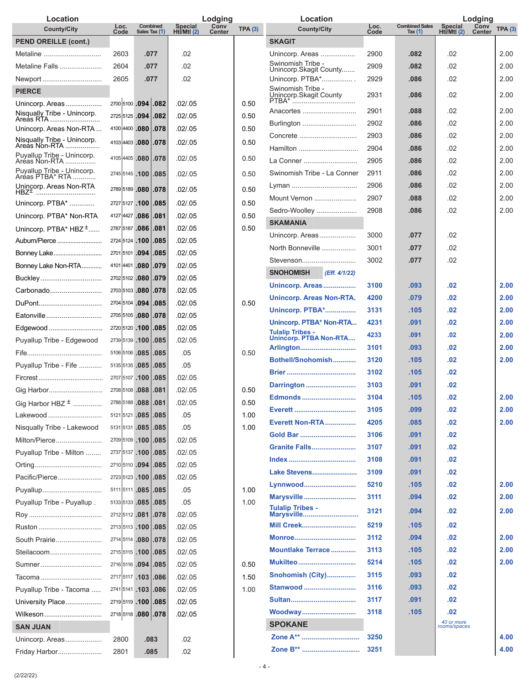| Location                                    |                |                           |                              | Lodging               |        | Location                                                 |              |                                    | Lodging                       |                       |        |
|---------------------------------------------|----------------|---------------------------|------------------------------|-----------------------|--------|----------------------------------------------------------|--------------|------------------------------------|-------------------------------|-----------------------|--------|
| <b>County/City</b>                          | Loc.<br>Code   | Combined<br>Sales Tax (1) | <b>Special</b><br>HtI/MtI(2) | Conv<br><b>Center</b> | TPA(3) | <b>County/City</b>                                       | Loc.<br>Code | <b>Combined Sales</b><br>Tax $(1)$ | <b>Special</b><br>Htl/Mtl (2) | Conv<br><b>Center</b> | TPA(3) |
| <b>PEND OREILLE (cont.)</b>                 |                |                           |                              |                       |        | <b>SKAGIT</b>                                            |              |                                    |                               |                       |        |
| Metaline                                    | 2603           | .077                      | .02                          |                       |        | Unincorp. Areas                                          | 2900         | .082                               | .02                           |                       | 2.00   |
| Metaline Falls                              | 2604           | .077                      | .02                          |                       |        | Swinomish Tribe -<br>Unincorp.Skagit County              | 2909         | .082                               | .02                           |                       | 2.00   |
| Newport                                     | 2605           | .077                      | .02                          |                       |        | Unincorp. PTBA*                                          | 2929         | .086                               | .02                           |                       | 2.00   |
| <b>PIERCE</b>                               |                |                           |                              |                       |        | Swinomish Tribe -<br>Unincorp.Skagit County              | 2931         | .086                               | .02                           |                       | 2.00   |
| Unincorp. Areas                             |                | 2700 5100 .094 .082       | .02/.05                      |                       | 0.50   | PTBA*                                                    |              |                                    |                               |                       |        |
| Nisqually Tribe - Unincorp.<br>Areas RTA    |                | 2725 5125 .094 .082       | .02/.05                      |                       | 0.50   | Anacortes                                                | 2901         | .088                               | .02                           |                       | 2.00   |
| Unincorp. Areas Non-RTA                     |                | 4100 4400 .080 .078       | .02/.05                      |                       | 0.50   | Burlington                                               | 2902         | .086                               | .02                           |                       | 2.00   |
| Nisqually Tribe - Unincorp.                 |                | 4103 4403 .080 .078       | .02/0.05                     |                       | 0.50   | Concrete                                                 | 2903         | .086                               | .02                           |                       | 2.00   |
| Puyallup Tribe - Unincorp.                  |                | 4105 4405 .080 .078       | .02 / .05                    |                       | 0.50   | Hamilton                                                 | 2904         | .086                               | .02                           |                       | 2.00   |
| Aréas Non-RTA<br>Puyallup Tribe - Unincorp. |                |                           |                              |                       |        | La Conner                                                | 2905         | .086                               | .02                           |                       | 2.00   |
| Aréas PTBA* RTA                             |                | 2745 5145 .100 .085       | .02 / .05                    |                       | 0.50   | Swinomish Tribe - La Conner                              | 2911         | .086                               | .02                           |                       | 2.00   |
| Unincorp. Areas Non-RTA<br>HBZ <sup>±</sup> |                | 2789 5189 .080 .078       | .02 / .05                    |                       | 0.50   | Lyman                                                    | 2906         | .086                               | .02                           |                       | 2.00   |
| Unincorp. PTBA*                             | 2727 5127 .100 | .085                      | .02/.05                      |                       | 0.50   | Mount Vernon                                             | 2907         | .088                               | .02                           |                       | 2.00   |
| Unincorp. PTBA* Non-RTA                     |                | 4127 4427 .086 .081       | .02 / .05                    |                       | 0.50   | Sedro-Woolley                                            | 2908         | .086                               | .02                           |                       | 2.00   |
| Unincorp. PTBA* HBZ <sup>+</sup>            |                | 2787 5187 .086 .081       | .02/.05                      |                       | 0.50   | <b>SKAMANIA</b>                                          |              |                                    |                               |                       |        |
| Auburn/Pierce                               |                | 2724 5124 .100 .085       | .02/.05                      |                       |        | Unincorp. Areas                                          | 3000         | .077                               | .02                           |                       |        |
| Bonney Lake                                 |                | 2701 5101 .094 .085       | .02/.05                      |                       |        | North Bonneville                                         | 3001         | .077                               | .02                           |                       |        |
| Bonney Lake Non-RTA                         |                | 4101 4401 .080 .079       | .02/.05                      |                       |        | Stevenson                                                | 3002         | .077                               | .02                           |                       |        |
| Buckley                                     | 2702 5102 .080 | .079                      | .02 / .05                    |                       |        | <b>SNOHOMISH</b><br>(Eff. 4/1/22)                        |              |                                    |                               |                       |        |
| Carbonado                                   |                | 2703 5103 .080 .078       | .02/.05                      |                       |        | Unincorp. Areas                                          | 3100         | .093                               | .02                           |                       | 2.00   |
| DuPont                                      |                | 2704 5104 .094 .085       | .02/.05                      |                       | 0.50   | Unincorp. Areas Non-RTA.                                 | 4200         | .079                               | .02                           |                       | 2.00   |
| Eatonville                                  |                | 2705 5105 .080 .078       | .02/.05                      |                       |        | <b>Unincorp. PTBA*</b>                                   | 3131         | .105                               | .02                           |                       | 2.00   |
| Edgewood                                    |                | 2720 5120 .100 .085       | .02/.05                      |                       |        | Unincorp. PTBA* Non-RTA                                  | 4231         | .091                               | .02                           |                       | 2.00   |
| Puyallup Tribe - Edgewood                   |                | 2739 5139 .100 .085       | .02/.05                      |                       |        | <b>Tulalip Tribes -</b><br><b>Unincorp. PTBA Non-RTA</b> | 4233         | .091                               | .02                           |                       | 2.00   |
|                                             |                | 5106 5106 .085 .085       | .05                          |                       | 0.50   | Arlington                                                | 3101         | .093                               | .02                           |                       | 2.00   |
| Puyallup Tribe - Fife                       |                | 5135 5135 .085 .085       | .05                          |                       |        | Bothell/Snohomish                                        | 3120         | .105                               | .02                           |                       | 2.00   |
|                                             |                | 2707 5107 .100 .085       | .02/.05                      |                       |        |                                                          | 3102         | .105                               | .02                           |                       |        |
| Gig Harbor                                  |                | 2708 5108 .088 .081       | .02/.05                      |                       | 0.50   | Darrington                                               | 3103         | .091                               | .02                           |                       |        |
| Gig Harbor HBZ $\pm$                        |                | 2788 5188 .088 .081       | .02 / .05                    |                       | 0.50   | Edmonds                                                  | 3104         | .105                               | .02                           |                       | 2.00   |
| Lakewood                                    |                | 5121 5121 .085 .085       | .05                          |                       | 1.00   |                                                          | 3105         | .099                               | .02                           |                       | 2.00   |
| Nisqually Tribe - Lakewood                  |                | 5131 5131 .085 .085       | .05                          |                       | 1.00   | <b>Everett Non-RTA</b>                                   | 4205         | .085                               | .02                           |                       | 2.00   |
| Milton/Pierce                               |                | 2709 5109 .100 .085       | .02 / .05                    |                       |        | Gold Bar                                                 | 3106         | .091                               | .02                           |                       |        |
| Puyallup Tribe - Milton                     |                | 2737 5137 .100 .085       | .02 / .05                    |                       |        | <b>Granite Falls</b>                                     | 3107         | .091                               | .02                           |                       |        |
|                                             |                | 2710 5110 .094 .085       | .02 / .05                    |                       |        |                                                          | 3108         | .091                               | .02                           |                       |        |
| Pacific/Pierce                              |                | 2723 5123 .100 .085       | .02 / .05                    |                       |        | Lake Stevens                                             | 3109         | .091                               | .02                           |                       |        |
| Puyallup                                    |                | 5111 5111 .085 .085       | .05                          |                       | 1.00   | Lynnwood                                                 | 5210         | .105                               | .02                           |                       | 2.00   |
| Puyallup Tribe - Puyallup.                  |                | 5133 5133 .085 .085       | .05                          |                       | 1.00   | Marysville                                               | 3111         | .094                               | .02                           |                       | 2.00   |
|                                             |                | 2712 5112 .081 .078       | .02 / .05                    |                       |        | Tulalip Tribes -<br>Marysville                           | 3121         | .094                               | .02                           |                       | 2.00   |
|                                             |                | 2713 5113 .100 .085       | .02 / .05                    |                       |        | <b>Mill Creek</b>                                        | 5219         | .105                               | .02                           |                       |        |
| South Prairie                               |                | 2714 5114 .080 .078       | .02 / .05                    |                       |        | Monroe                                                   | 3112         | .094                               | .02                           |                       | 2.00   |
| Steilacoom                                  |                | 2715 5115 .100 .085       | .02 / .05                    |                       |        | Mountlake Terrace                                        | 3113         | .105                               | .02                           |                       | 2.00   |
| Sumner                                      |                | 2716 5116 .094 .085       | .02 / .05                    |                       | 0.50   | <b>Mukilteo </b>                                         | 5214         | .105                               | .02                           |                       | 2.00   |
| Tacoma                                      |                | 2717 5117 .103 .086       | .02 / .05                    |                       | 1.50   | Snohomish (City)                                         | 3115         | .093                               | .02                           |                       |        |
| Puyallup Tribe - Tacoma                     |                | 2741 5141 .103 .086       | .02 / .05                    |                       | 1.00   | Stanwood                                                 | 3116         | .093                               | .02                           |                       |        |
| University Place                            |                | 2719 5119 .100 .085       | .02 / .05                    |                       |        | Sultan                                                   | 3117         | .091                               | .02                           |                       |        |
| Wilkeson                                    |                | 2718 5118 .080 .078       | .02 / .05                    |                       |        | Woodway                                                  | 3118         | .105                               | .02                           |                       |        |
| <b>SAN JUAN</b>                             |                |                           |                              |                       |        | <b>SPOKANE</b>                                           |              |                                    | 40 or more<br>rooms/spaces    |                       |        |
|                                             |                |                           |                              |                       |        | Zone A**                                                 | 3250         |                                    |                               |                       | 4.00   |
| Unincorp. Areas                             | 2800           | .083                      | .02                          |                       |        | Zone B**                                                 | 3251         |                                    |                               |                       | 4.00   |
| Friday Harbor                               | 2801           | .085                      | .02                          |                       |        |                                                          |              |                                    |                               |                       |        |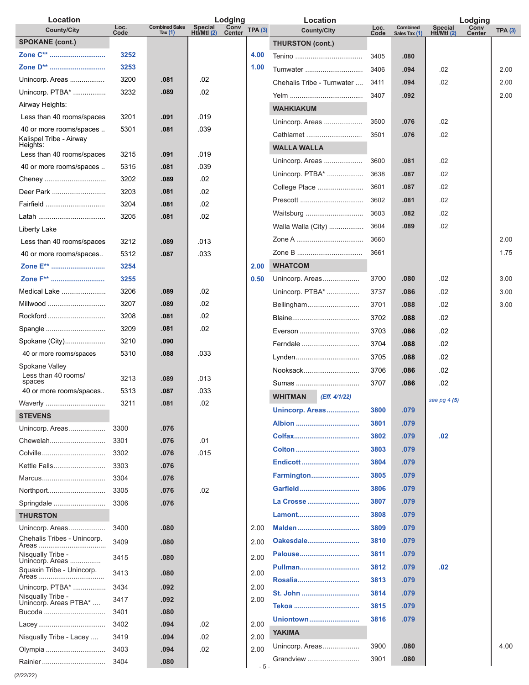| Location                                       |              |                                    |                              | Lodging        |        | Location                        |              |                           | Lodging                |                |                |
|------------------------------------------------|--------------|------------------------------------|------------------------------|----------------|--------|---------------------------------|--------------|---------------------------|------------------------|----------------|----------------|
| <b>County/City</b>                             | Loc.<br>Code | <b>Combined Sales</b><br>Tax $(1)$ | <b>Special</b><br>HtI/MtI(2) | Conv<br>Center | TPA(3) | <b>County/City</b>              | Loc.<br>Code | Combined<br>Sales Tax (1) | Special<br>Htl/Mtl (2) | Conv<br>Center | <b>TPA (3)</b> |
| <b>SPOKANE (cont.)</b>                         |              |                                    |                              |                |        | <b>THURSTON (cont.)</b>         |              |                           |                        |                |                |
| Zone C**                                       | 3252         |                                    |                              |                | 4.00   |                                 | 3405         | .080                      |                        |                |                |
| Zone D**                                       | 3253         |                                    |                              |                | 1.00   | Tumwater                        | 3406         | .094                      | .02                    |                | 2.00           |
| Unincorp. Areas                                | 3200         | .081                               | .02                          |                |        | Chehalis Tribe - Tumwater       | 3411         | .094                      | .02                    |                | 2.00           |
| Unincorp. PTBA*                                | 3232         | .089                               | .02                          |                |        |                                 | 3407         | .092                      |                        |                | 2.00           |
| Airway Heights:                                |              |                                    |                              |                |        | <b>WAHKIAKUM</b>                |              |                           |                        |                |                |
| Less than 40 rooms/spaces                      | 3201         | .091                               | .019                         |                |        | Unincorp. Areas                 | 3500         | .076                      | .02                    |                |                |
| 40 or more rooms/spaces                        | 5301         | .081                               | .039                         |                |        | Cathlamet                       | 3501         | .076                      | .02                    |                |                |
| Kalispel Tribe - Airway<br>Heights:            |              |                                    |                              |                |        | <b>WALLA WALLA</b>              |              |                           |                        |                |                |
| Less than 40 rooms/spaces                      | 3215         | .091                               | .019                         |                |        | Unincorp. Areas                 | 3600         | .081                      | .02                    |                |                |
| 40 or more rooms/spaces                        | 5315         | .081                               | .039                         |                |        | Unincorp. PTBA*                 | 3638         | .087                      | .02                    |                |                |
| Cheney                                         | 3202         | .089                               | .02                          |                |        | College Place                   | 3601         | .087                      | .02                    |                |                |
| Deer Park                                      | 3203         | .081                               | .02                          |                |        |                                 | 3602         | .081                      | .02                    |                |                |
| Fairfield                                      | 3204         | .081                               | .02                          |                |        |                                 |              |                           |                        |                |                |
|                                                | 3205         | .081                               | .02                          |                |        | Waitsburg                       | 3603         | .082                      | .02                    |                |                |
| Liberty Lake                                   |              |                                    |                              |                |        | Walla Walla (City)              | 3604         | .089                      | .02                    |                |                |
| Less than 40 rooms/spaces                      | 3212         | .089                               | .013                         |                |        |                                 | 3660         |                           |                        |                | 2.00           |
| 40 or more rooms/spaces                        | 5312         | .087                               | .033                         |                |        |                                 | 3661         |                           |                        |                | 1.75           |
| Zone E**                                       | 3254         |                                    |                              |                | 2.00   | <b>WHATCOM</b>                  |              |                           |                        |                |                |
| Zone F**                                       | 3255         |                                    |                              |                | 0.50   | Unincorp. Areas                 | 3700         | .080                      | .02                    |                | 3.00           |
| Medical Lake                                   | 3206         | .089                               | .02                          |                |        | Unincorp. PTBA*                 | 3737         | .086                      | .02                    |                | 3.00           |
| Millwood                                       | 3207         | .089                               | .02                          |                |        | Bellingham                      | 3701         | .088                      | .02                    |                | 3.00           |
| Rockford                                       | 3208         | .081                               | .02                          |                |        | Blaine                          | 3702         | .088                      | .02                    |                |                |
| Spangle                                        | 3209         | .081                               | .02                          |                |        | Everson                         | 3703         | .086                      | .02                    |                |                |
| Spokane (City)                                 | 3210         | .090                               |                              |                |        | Ferndale                        | 3704         | .088                      | .02                    |                |                |
| 40 or more rooms/spaces                        | 5310         | .088                               | .033                         |                |        | Lynden                          | 3705         | .088                      | .02                    |                |                |
| Spokane Valley                                 |              |                                    |                              |                |        | Nooksack                        | 3706         | .086                      | .02                    |                |                |
| Less than 40 rooms/<br>spaces                  | 3213         | .089                               | .013                         |                |        | Sumas                           | 3707         | .086                      | .02                    |                |                |
| 40 or more rooms/spaces                        | 5313         | .087                               | .033                         |                |        | <b>WHITMAN</b><br>(Eff. 4/1/22) |              |                           | see pg $4(5)$          |                |                |
| Waverly                                        | 3211         | .081                               | 02                           |                |        | Unincorp. Areas                 | 3800         | .079                      |                        |                |                |
| <b>STEVENS</b>                                 |              |                                    |                              |                |        | Albion                          | 3801         | .079                      |                        |                |                |
| Unincorp. Areas                                | 3300         | .076                               |                              |                |        |                                 | 3802         | .079                      | .02                    |                |                |
| Chewelah                                       | 3301         | .076                               | .01                          |                |        |                                 | 3803         | .079                      |                        |                |                |
| Colville                                       | 3302         | .076                               | .015                         |                |        | Endicott                        | 3804         | .079                      |                        |                |                |
| Kettle Falls                                   | 3303         | .076                               |                              |                |        | Farmington                      | 3805         | .079                      |                        |                |                |
| Marcus                                         | 3304         | .076                               |                              |                |        | Garfield                        | 3806         | .079                      |                        |                |                |
| Northport                                      | 3305         | .076                               | .02                          |                |        | La Crosse                       | 3807         | .079                      |                        |                |                |
| Springdale                                     | 3306         | .076                               |                              |                |        |                                 |              |                           |                        |                |                |
| <b>THURSTON</b>                                |              |                                    |                              |                |        | Lamont                          | 3808         | .079                      |                        |                |                |
| Unincorp. Areas<br>Chehalis Tribes - Unincorp. | 3400         | .080                               |                              |                | 2.00   | Malden                          | 3809         | .079                      |                        |                |                |
|                                                | 3409         | .080                               |                              |                | 2.00   | Oakesdale                       | 3810         | .079                      |                        |                |                |
| Nisqually Tribe -<br>Unincorp. Areas           | 3415         | .080                               |                              |                | 2.00   | Palouse                         | 3811         | .079                      |                        |                |                |
| Squaxin Tribe - Unincorp.<br>Areas             | 3413         | .080                               |                              |                | 2.00   | Pullman                         | 3812         | .079                      | .02                    |                |                |
| Unincorp. PTBA*                                | 3434         | .092                               |                              |                | 2.00   |                                 | 3813         | .079                      |                        |                |                |
| Nisqually Tribe -                              | 3417         | .092                               |                              |                | 2.00   | St. John                        | 3814         | .079                      |                        |                |                |
| Unincorp. Areas PTBA*<br>Bucoda                | 3401         | .080                               |                              |                |        |                                 | 3815         | .079                      |                        |                |                |
|                                                | 3402         | .094                               | .02                          |                | 2.00   | Uniontown                       | 3816         | .079                      |                        |                |                |
| Nisqually Tribe - Lacey                        | 3419         | .094                               | .02                          |                | 2.00   | <b>YAKIMA</b>                   |              |                           |                        |                |                |
| Olympia                                        | 3403         | .094                               | .02                          |                | 2.00   | Unincorp. Areas                 | 3900         | .080                      |                        |                | 4.00           |
|                                                | 3404         | .080                               |                              |                | $-5-$  | Grandview                       | 3901         | .080                      |                        |                |                |
|                                                |              |                                    |                              |                |        |                                 |              |                           |                        |                |                |